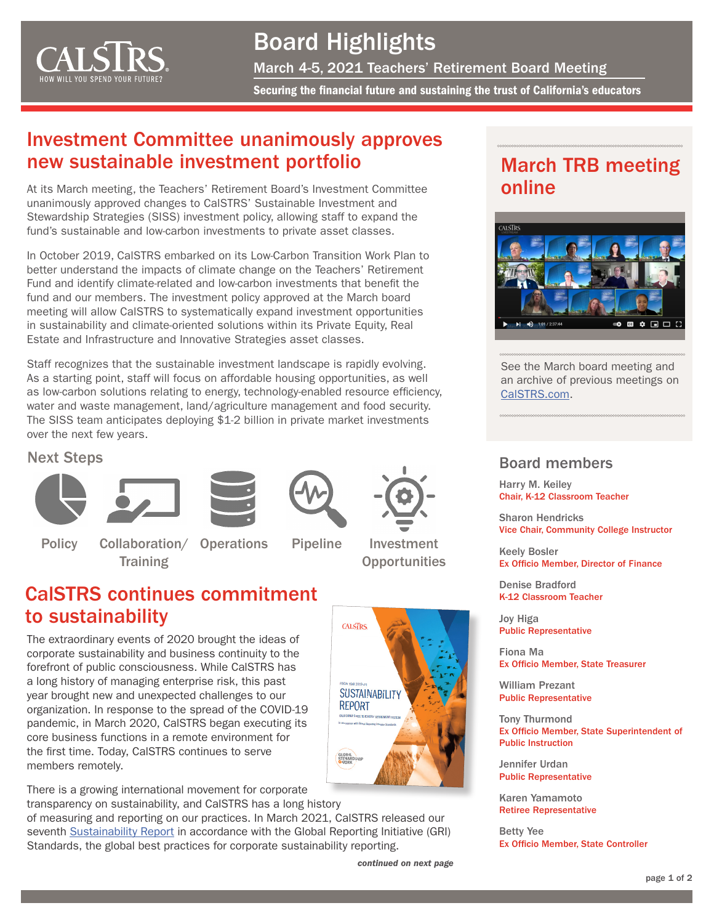<span id="page-0-0"></span>

# Board Highlights March 4-5, 2021 Teachers' Retirement Board Meeting Securing the fnancial future and sustaining the trust of California's educators

## Investment Committee unanimously approves new sustainable investment portfolio

At its March meeting, the Teachers' Retirement Board's Investment Committee unanimously approved changes to CalSTRS' Sustainable Investment and Stewardship Strategies (SISS) investment policy, allowing staff to expand the fund's sustainable and low-carbon investments to private asset classes.

In October 2019, CalSTRS embarked on its Low-Carbon Transition Work Plan to better understand the impacts of climate change on the Teachers' Retirement Fund and identify climate-related and low-carbon investments that benefit the fund and our members. The investment policy approved at the March board meeting will allow CalSTRS to systematically expand investment opportunities in sustainability and climate-oriented solutions within its Private Equity, Real Estate and Infrastructure and Innovative Strategies asset classes.

 as low-carbon solutions relating to energy, technology-enabled resource effciency, Staff recognizes that the sustainable investment landscape is rapidly evolving. As a starting point, staff will focus on affordable housing opportunities, as well water and waste management, land/agriculture management and food security. The SISS team anticipates deploying \$1-2 billion in private market investments over the next few years.

#### Next Steps

**Policy** 







**Pipeline** 

**CALSTRS** 

**GLOBAL**<br>STEWARI

**SUSTAINABILITY REPORT** 



Investment **Opportunities** 

## CalSTRS continues commitment to sustainability

**Training** 

Collaboration/ Operations

The extraordinary events of 2020 brought the ideas of corporate sustainability and business continuity to the forefront of public consciousness. While CalSTRS has a long history of managing enterprise risk, this past year brought new and unexpected challenges to our organization. In response to the spread of the COVID-19 pandemic, in March 2020, CalSTRS began executing its core business functions in a remote environment for the frst time. Today, CalSTRS continues to serve members remotely.

There is a growing international movement for corporate transparency on sustainability, and CalSTRS has a long history

of measuring and reporting on our practices. In March 2021, CalSTRS released our seventh [Sustainability Report](https://www.calstrs.com/2019-20-sustainability-report) in accordance with the Global Reporting Initiative (GRI) Standards, the global best practices for corporate sustainability reporting.

*[continued on next page](#page-1-0)* 

## March TRB meeting online



See the March board meeting and an archive of previous meetings on [CalSTRS.com.](https://www.calstrs.com/board-meeting-video-archive)

### Board members

Harry M. Keiley Chair, K-12 Classroom Teacher

Sharon Hendricks Vice Chair, Community College Instructor

Keely Bosler Ex Officio Member, Director of Finance

Denise Bradford K-12 Classroom Teacher

Joy Higa Public Representative

Fiona Ma Ex Officio Member, State Treasurer

William Prezant Public Representative

Tony Thurmond Ex Officio Member, State Superintendent of Public Instruction

Jennifer Urdan Public Representative

Karen Yamamoto Retiree Representative

Betty Yee Ex Officio Member, State Controller